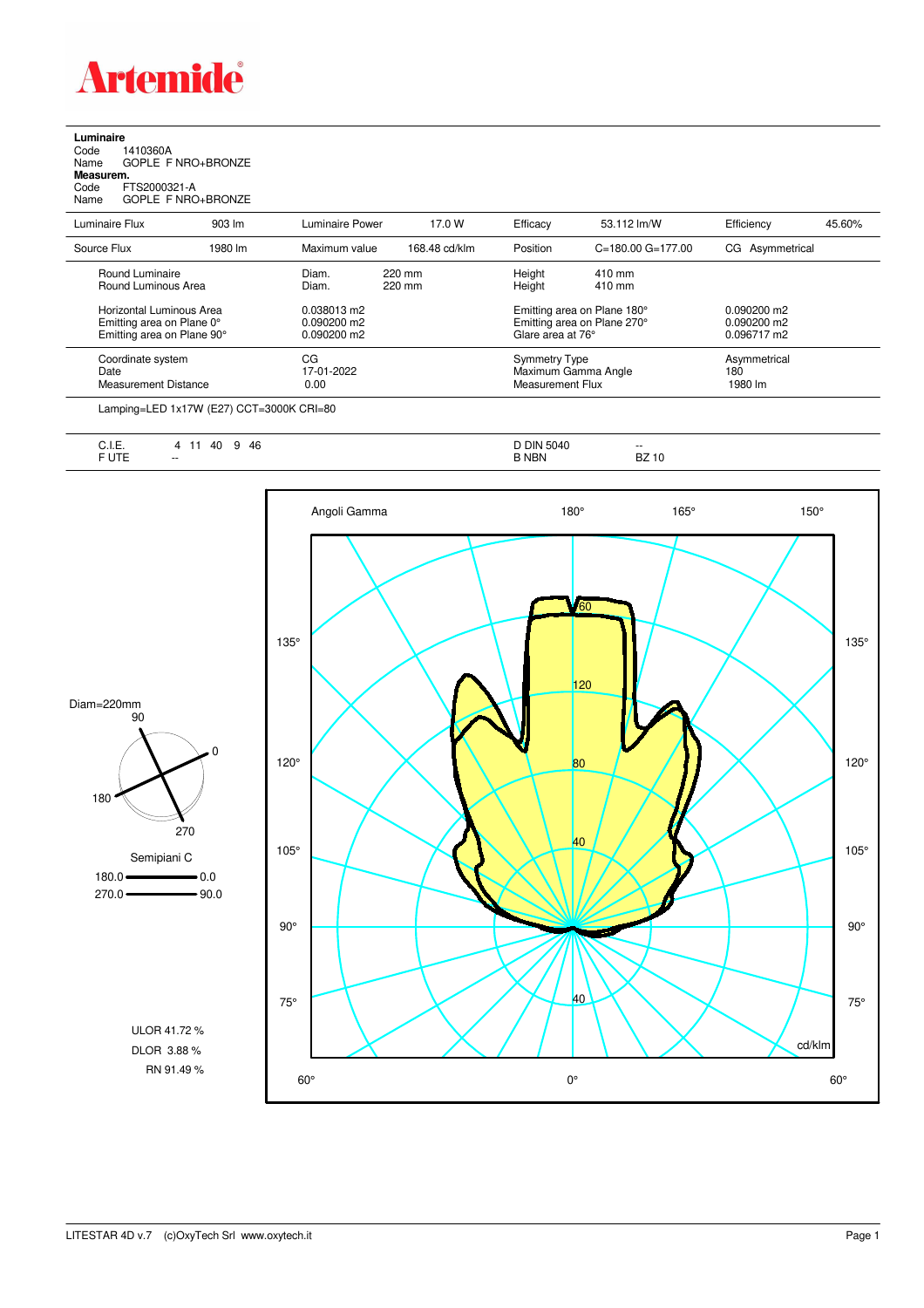

**Luminaire**<br>Code 1<br>Name ( Code 1410360A Name GOPLE F NRO+BRONZE **Measurem.**

Code FTS2000321-A Name GOPLE F NRO+BRONZE

| Luminaire Flux                                                                      | $903 \, \text{Im}$ | Luminaire Power                               | 17.0 W           | Efficacy                          | 53.112 lm/W                                                | Efficiency                                    | 45.60% |
|-------------------------------------------------------------------------------------|--------------------|-----------------------------------------------|------------------|-----------------------------------|------------------------------------------------------------|-----------------------------------------------|--------|
| Source Flux                                                                         | 1980 lm            | Maximum value                                 | 168.48 cd/klm    | Position                          | $C = 180.00$ $G = 177.00$                                  | CG Asymmetrical                               |        |
| Round Luminaire<br>Round Luminous Area                                              |                    | Diam.<br>Diam.                                | 220 mm<br>220 mm | Height<br>Height                  | 410 mm<br>410 mm                                           |                                               |        |
| Horizontal Luminous Area<br>Emitting area on Plane 0°<br>Emitting area on Plane 90° |                    | 0.038013 m2<br>$0.090200$ m2<br>$0.090200$ m2 |                  | Glare area at 76°                 | Emitting area on Plane 180°<br>Emitting area on Plane 270° | $0.090200$ m2<br>$0.090200$ m2<br>0.096717 m2 |        |
| Coordinate system<br>Date<br>Measurement Distance                                   |                    | CG<br>17-01-2022<br>0.00                      |                  | Symmetry Type<br>Measurement Flux | Maximum Gamma Angle                                        | Asymmetrical<br>180<br>1980 lm                |        |

Lamping=LED 1x17W (E27) CCT=3000K CRI=80